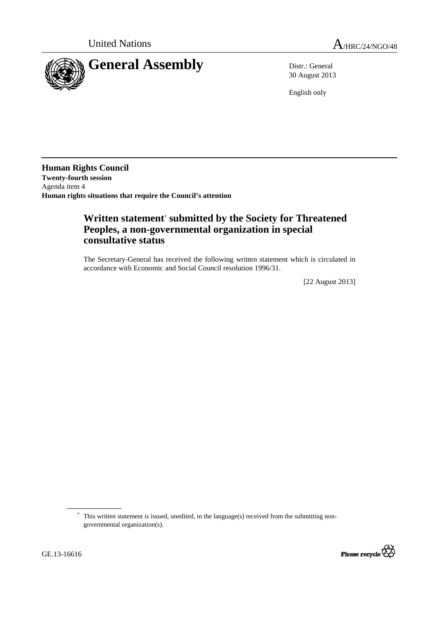

30 August 2013

English only

**Human Rights Council Twenty-fourth session**  Agenda item 4 **Human rights situations that require the Council's attention** 

# **Written statement**\*  **submitted by the Society for Threatened Peoples, a non-governmental organization in special consultative status**

The Secretary-General has received the following written statement which is circulated in accordance with Economic and Social Council resolution 1996/31.

[22 August 2013]

 <sup>\*</sup> This written statement is issued, unedited, in the language(s) received from the submitting nongovernmental organization(s).



 $\overline{a}$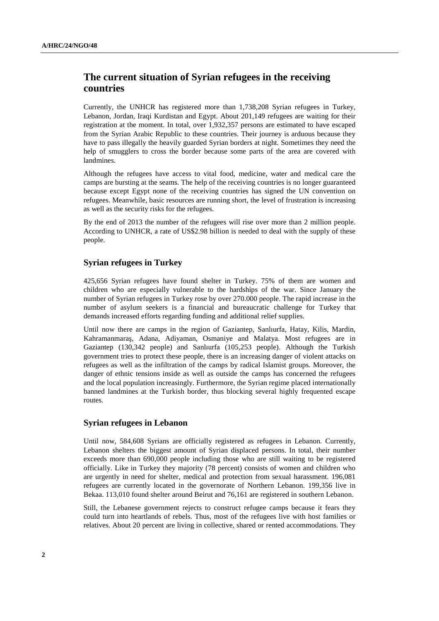## **The current situation of Syrian refugees in the receiving countries**

Currently, the UNHCR has registered more than 1,738,208 Syrian refugees in Turkey, Lebanon, Jordan, Iraqi Kurdistan and Egypt. About 201,149 refugees are waiting for their registration at the moment. In total, over 1,932,357 persons are estimated to have escaped from the Syrian Arabic Republic to these countries. Their journey is arduous because they have to pass illegally the heavily guarded Syrian borders at night. Sometimes they need the help of smugglers to cross the border because some parts of the area are covered with landmines.

Although the refugees have access to vital food, medicine, water and medical care the camps are bursting at the seams. The help of the receiving countries is no longer guaranteed because except Egypt none of the receiving countries has signed the UN convention on refugees. Meanwhile, basic resources are running short, the level of frustration is increasing as well as the security risks for the refugees.

By the end of 2013 the number of the refugees will rise over more than 2 million people. According to UNHCR, a rate of US\$2.98 billion is needed to deal with the supply of these people.

#### **Syrian refugees in Turkey**

425,656 Syrian refugees have found shelter in Turkey. 75% of them are women and children who are especially vulnerable to the hardships of the war. Since January the number of Syrian refugees in Turkey rose by over 270.000 people. The rapid increase in the number of asylum seekers is a financial and bureaucratic challenge for Turkey that demands increased efforts regarding funding and additional relief supplies.

Until now there are camps in the region of Gaziantep, Sanlıurfa, Hatay, Kilis, Mardin, Kahramanmaraş, Adana, Adiyaman, Osmaniye and Malatya. Most refugees are in Gaziantep (130,342 people) and Sanlıurfa (105,253 people). Although the Turkish government tries to protect these people, there is an increasing danger of violent attacks on refugees as well as the infiltration of the camps by radical Islamist groups. Moreover, the danger of ethnic tensions inside as well as outside the camps has concerned the refugees and the local population increasingly. Furthermore, the Syrian regime placed internationally banned landmines at the Turkish border, thus blocking several highly frequented escape routes.

#### **Syrian refugees in Lebanon**

Until now, 584,608 Syrians are officially registered as refugees in Lebanon. Currently, Lebanon shelters the biggest amount of Syrian displaced persons. In total, their number exceeds more than 690,000 people including those who are still waiting to be registered officially. Like in Turkey they majority (78 percent) consists of women and children who are urgently in need for shelter, medical and protection from sexual harassment. 196,081 refugees are currently located in the governorate of Northern Lebanon. 199,356 live in Bekaa. 113,010 found shelter around Beirut and 76,161 are registered in southern Lebanon.

Still, the Lebanese government rejects to construct refugee camps because it fears they could turn into heartlands of rebels. Thus, most of the refugees live with host families or relatives. About 20 percent are living in collective, shared or rented accommodations. They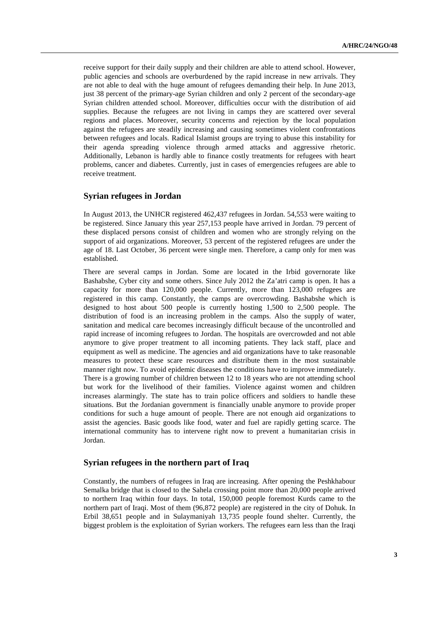receive support for their daily supply and their children are able to attend school. However, public agencies and schools are overburdened by the rapid increase in new arrivals. They are not able to deal with the huge amount of refugees demanding their help. In June 2013, just 38 percent of the primary-age Syrian children and only 2 percent of the secondary-age Syrian children attended school. Moreover, difficulties occur with the distribution of aid supplies. Because the refugees are not living in camps they are scattered over several regions and places. Moreover, security concerns and rejection by the local population against the refugees are steadily increasing and causing sometimes violent confrontations between refugees and locals. Radical Islamist groups are trying to abuse this instability for their agenda spreading violence through armed attacks and aggressive rhetoric. Additionally, Lebanon is hardly able to finance costly treatments for refugees with heart problems, cancer and diabetes. Currently, just in cases of emergencies refugees are able to receive treatment.

#### **Syrian refugees in Jordan**

In August 2013, the UNHCR registered 462,437 refugees in Jordan. 54,553 were waiting to be registered. Since January this year 257,153 people have arrived in Jordan. 79 percent of these displaced persons consist of children and women who are strongly relying on the support of aid organizations. Moreover, 53 percent of the registered refugees are under the age of 18. Last October, 36 percent were single men. Therefore, a camp only for men was established.

There are several camps in Jordan. Some are located in the Irbid governorate like Bashabshe, Cyber city and some others. Since July 2012 the Za'atri camp is open. It has a capacity for more than 120,000 people. Currently, more than 123,000 refugees are registered in this camp. Constantly, the camps are overcrowding. Bashabshe which is designed to host about 500 people is currently hosting 1,500 to 2,500 people. The distribution of food is an increasing problem in the camps. Also the supply of water, sanitation and medical care becomes increasingly difficult because of the uncontrolled and rapid increase of incoming refugees to Jordan. The hospitals are overcrowded and not able anymore to give proper treatment to all incoming patients. They lack staff, place and equipment as well as medicine. The agencies and aid organizations have to take reasonable measures to protect these scare resources and distribute them in the most sustainable manner right now. To avoid epidemic diseases the conditions have to improve immediately. There is a growing number of children between 12 to 18 years who are not attending school but work for the livelihood of their families. Violence against women and children increases alarmingly. The state has to train police officers and soldiers to handle these situations. But the Jordanian government is financially unable anymore to provide proper conditions for such a huge amount of people. There are not enough aid organizations to assist the agencies. Basic goods like food, water and fuel are rapidly getting scarce. The international community has to intervene right now to prevent a humanitarian crisis in Jordan.

#### **Syrian refugees in the northern part of Iraq**

Constantly, the numbers of refugees in Iraq are increasing. After opening the Peshkhabour Semalka bridge that is closed to the Sahela crossing point more than 20,000 people arrived to northern Iraq within four days. In total, 150,000 people foremost Kurds came to the northern part of Iraqi. Most of them (96,872 people) are registered in the city of Dohuk. In Erbil 38,651 people and in Sulaymaniyah 13,735 people found shelter. Currently, the biggest problem is the exploitation of Syrian workers. The refugees earn less than the Iraqi